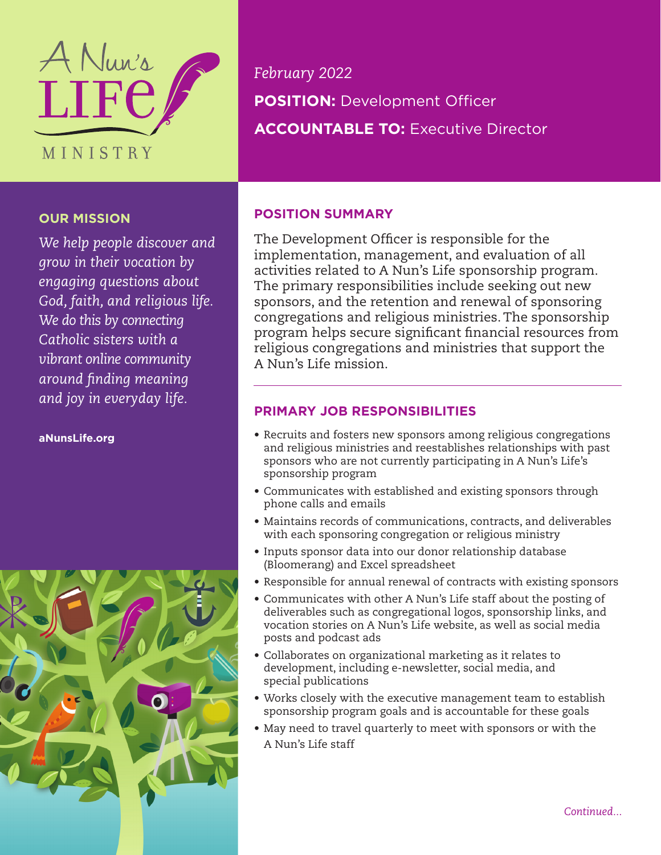

## **OUR MISSION**

*We help people discover and grow in their vocation by engaging questions about God, faith, and religious life. We do this by connecting Catholic sisters with a vibrant online community around finding meaning and joy in everyday life.*

**aNunsLife.org**



*February 2022* **POSITION:** Development Officer **ACCOUNTABLE TO:** Executive Director

# **POSITION SUMMARY**

The Development Officer is responsible for the implementation, management, and evaluation of all activities related to A Nun's Life sponsorship program. The primary responsibilities include seeking out new sponsors, and the retention and renewal of sponsoring congregations and religious ministries. The sponsorship program helps secure significant financial resources from religious congregations and ministries that support the A Nun's Life mission.

## **PRIMARY JOB RESPONSIBILITIES**

- Recruits and fosters new sponsors among religious congregations and religious ministries and reestablishes relationships with past sponsors who are not currently participating in A Nun's Life's sponsorship program
- Communicates with established and existing sponsors through phone calls and emails
- Maintains records of communications, contracts, and deliverables with each sponsoring congregation or religious ministry
- Inputs sponsor data into our donor relationship database (Bloomerang) and Excel spreadsheet
- Responsible for annual renewal of contracts with existing sponsors
- Communicates with other A Nun's Life staff about the posting of deliverables such as congregational logos, sponsorship links, and vocation stories on A Nun's Life website, as well as social media posts and podcast ads
- Collaborates on organizational marketing as it relates to development, including e-newsletter, social media, and special publications
- Works closely with the executive management team to establish sponsorship program goals and is accountable for these goals
- May need to travel quarterly to meet with sponsors or with the A Nun's Life staff